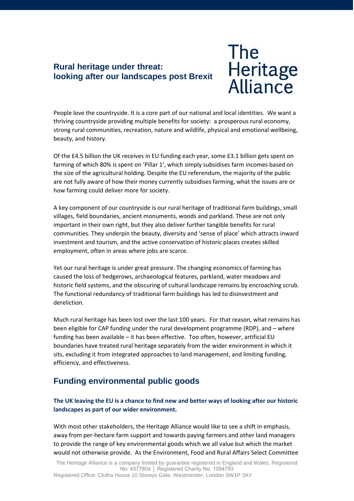#### **Rural heritage under threat: looking after our landscapes post Brexit**



People love the countryside. It is a core part of our national and local identities. We want a thriving countryside providing multiple benefits for society: a prosperous rural economy, strong rural communities, recreation, nature and wildlife, physical and emotional wellbeing, beauty, and history.

Of the £4.5 billion the UK receives in EU funding each year, some £3.1 billion gets spent on farming of which 80% is spent on 'Pillar 1', which simply subsidises farm incomes based on the size of the agricultural holding. Despite the EU referendum, the majority of the public are not fully aware of how their money currently subsidises farming, what the issues are or how farming could deliver more for society.

A key component of our countryside is our rural heritage of traditional farm buildings, small villages, field boundaries, ancient monuments, woods and parkland. These are not only important in their own right, but they also deliver further tangible benefits for rural communities. They underpin the beauty, diversity and 'sense of place' which attracts inward investment and tourism, and the active conservation of historic places creates skilled employment, often in areas where jobs are scarce.

Yet our rural heritage is under great pressure. The changing economics of farming has caused the loss of hedgerows, archaeological features, parkland, water meadows and historic field systems, and the obscuring of cultural landscape remains by encroaching scrub. The functional redundancy of traditional farm buildings has led to disinvestment and dereliction.

Much rural heritage has been lost over the last 100 years. For that reason, what remains has been eligible for CAP funding under the rural development programme (RDP), and – where funding has been available – it has been effective. Too often, however, artificial EU boundaries have treated rural heritage separately from the wider environment in which it sits, excluding it from integrated approaches to land management, and limiting funding, efficiency, and effectiveness.

# **Funding environmental public goods**

**The UK leaving the EU is a chance to find new and better ways of looking after our historic landscapes as part of our wider environment.** 

With most other stakeholders, the Heritage Alliance would like to see a shift in emphasis, away from per-hectare farm support and towards paying farmers and other land managers to provide the range of key environmental goods which we all value but which the market would not otherwise provide. As the Environment, Food and Rural Affairs Select Committee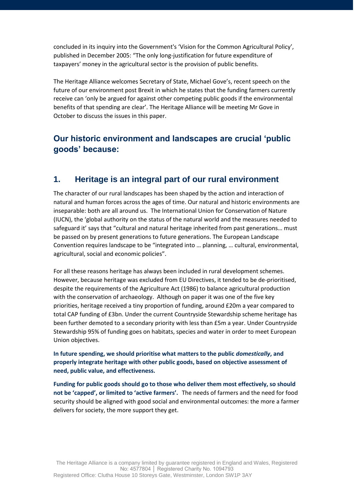concluded in its inquiry into the Government's 'Vision for the Common Agricultural Policy', published in December 2005: "The only long-justification for future expenditure of taxpayers' money in the agricultural sector is the provision of public benefits.

The Heritage Alliance welcomes Secretary of State, Michael Gove's, recent speech on the future of our environment post Brexit in which he states that the funding farmers currently receive can 'only be argued for against other competing public goods if the environmental benefits of that spending are clear'. The Heritage Alliance will be meeting Mr Gove in October to discuss the issues in this paper.

# **Our historic environment and landscapes are crucial 'public goods' because:**

#### **1. Heritage is an integral part of our rural environment**

The character of our rural landscapes has been shaped by the action and interaction of natural and human forces across the ages of time. Our natural and historic environments are inseparable: both are all around us. The International Union for Conservation of Nature (IUCN), the 'global authority on the status of the natural world and the measures needed to safeguard it' says that "cultural and natural heritage inherited from past generations… must be passed on by present generations to future generations. The European Landscape Convention requires landscape to be "integrated into … planning, … cultural, environmental, agricultural, social and economic policies".

For all these reasons heritage has always been included in rural development schemes. However, because heritage was excluded from EU Directives, it tended to be de-prioritised, despite the requirements of the Agriculture Act (1986) to balance agricultural production with the conservation of archaeology. Although on paper it was one of the five key priorities, heritage received a tiny proportion of funding, around £20m a year compared to total CAP funding of £3bn. Under the current Countryside Stewardship scheme heritage has been further demoted to a secondary priority with less than £5m a year. Under Countryside Stewardship 95% of funding goes on habitats, species and water in order to meet European Union objectives.

**In future spending, we should prioritise what matters to the public** *domestically***, and properly integrate heritage with other public goods, based on objective assessment of need, public value, and effectiveness.** 

**Funding for public goods should go to those who deliver them most effectively, so should not be 'capped', or limited to 'active farmers'.** The needs of farmers and the need for food security should be aligned with good social and environmental outcomes: the more a farmer delivers for society, the more support they get.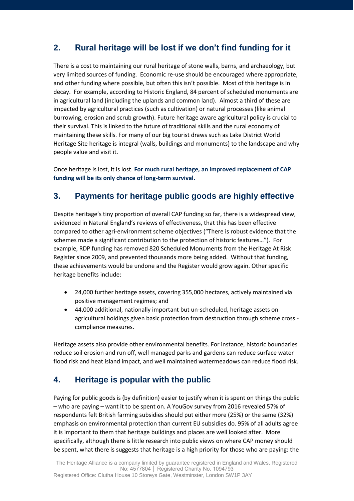# **2. Rural heritage will be lost if we don't find funding for it**

There is a cost to maintaining our rural heritage of stone walls, barns, and archaeology, but very limited sources of funding. Economic re-use should be encouraged where appropriate, and other funding where possible, but often this isn't possible. Most of this heritage is in decay. For example, according to Historic England, 84 percent of scheduled monuments are in agricultural land (including the uplands and common land). Almost a third of these are impacted by agricultural practices (such as cultivation) or natural processes (like animal burrowing, erosion and scrub growth). Future heritage aware agricultural policy is crucial to their survival. This is linked to the future of traditional skills and the rural economy of maintaining these skills. For many of our big tourist draws such as Lake District World Heritage Site heritage is integral (walls, buildings and monuments) to the landscape and why people value and visit it.

Once heritage is lost, it is lost. **For much rural heritage, an improved replacement of CAP funding will be its only chance of long-term survival.**

# **3. Payments for heritage public goods are highly effective**

Despite heritage's tiny proportion of overall CAP funding so far, there is a widespread view, evidenced in Natural England's reviews of effectiveness, that this has been effective compared to other agri-environment scheme objectives ("There is robust evidence that the schemes made a significant contribution to the protection of historic features…"). For example, RDP funding has removed 820 Scheduled Monuments from the Heritage At Risk Register since 2009, and prevented thousands more being added. Without that funding, these achievements would be undone and the Register would grow again. Other specific heritage benefits include:

- 24,000 further heritage assets, covering 355,000 hectares, actively maintained via positive management regimes; and
- 44,000 additional, nationally important but un-scheduled, heritage assets on agricultural holdings given basic protection from destruction through scheme cross compliance measures.

Heritage assets also provide other environmental benefits. For instance, historic boundaries reduce soil erosion and run off, well managed parks and gardens can reduce surface water flood risk and heat island impact, and well maintained watermeadows can reduce flood risk.

# **4. Heritage is popular with the public**

Paying for public goods is (by definition) easier to justify when it is spent on things the public – who are paying – want it to be spent on. A YouGov survey from 2016 revealed 57% of respondents felt British farming subsidies should put either more (25%) or the same (32%) emphasis on environmental protection than current EU subsidies do. 95% of all adults agree it is important to them that heritage buildings and places are well looked after. More specifically, although there is little research into public views on where CAP money should be spent, what there is suggests that heritage is a high priority for those who are paying: the